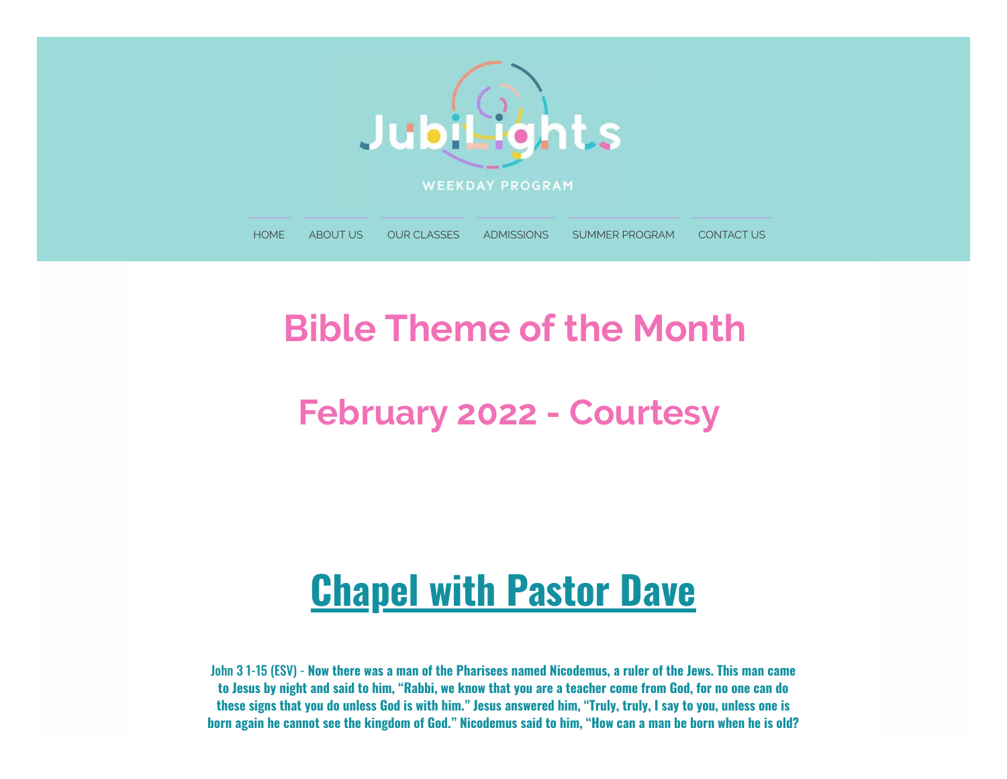

## **Bible Theme of the Month**

### **February 2022 - Courtesy**

# **Chapel with Pastor Dave**

John 3 1-15 (ESV) - Now there was a man of the Pharisees named Nicodemus, a ruler of the Jews. This man came to Jesus by night and said to him, "Rabbi, we know that you are a teacher come from God, for no one can do these signs that you do unless God is with him." Jesus answered him, "Truly, truly, I say to you, unless one is born again he cannot see the kingdom of God." Nicodemus said to him, "How can a man be born when he is old?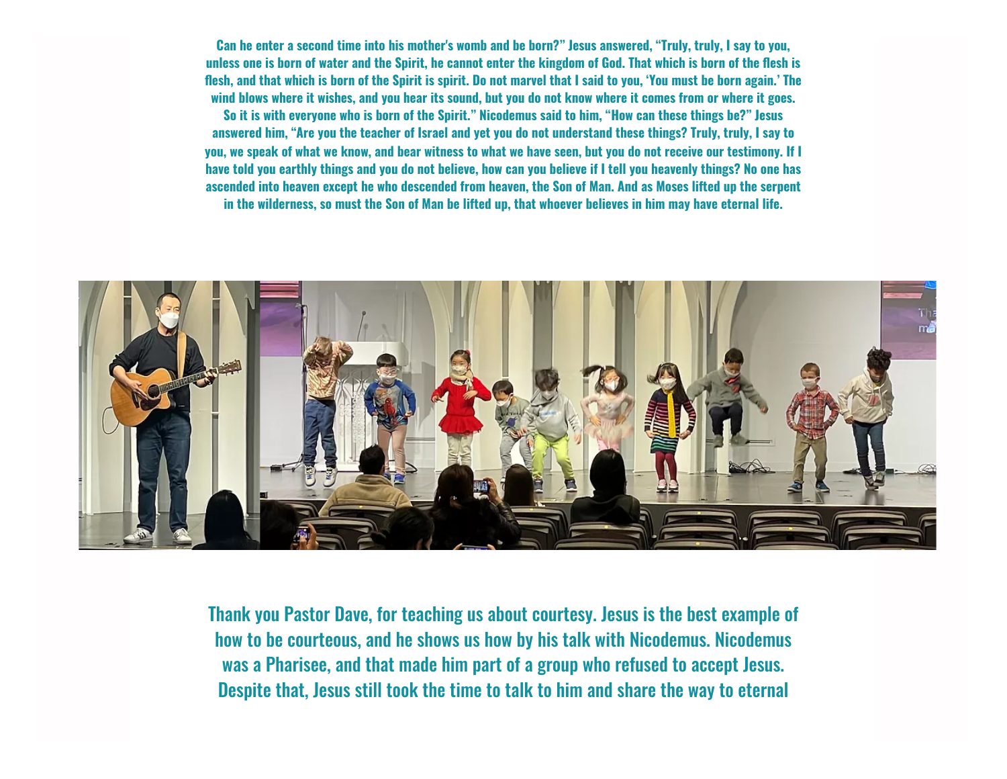Can he enter a second time into his mother's womb and be born?" Jesus answered, "Truly, truly, I say to you, unless one is born of water and the Spirit, he cannot enter the kingdom of God. That which is born of the flesh is flesh, and that which is born of the Spirit is spirit. Do not marvel that I said to you, 'You must be born again.' The wind blows where it wishes, and you hear its sound, but you do not know where it comes from or where it goes,

So it is with everyone who is born of the Spirit." Nicodemus said to him, "How can these things be?" Jesus answered him, "Are you the teacher of Israel and yet you do not understand these things? Truly, truly, I say to vou, we speak of what we know, and bear witness to what we have seen, but you do not receive our testimony. If I have told you earthly things and you do not believe, how can you believe if I tell you heavenly things? No one has ascended into heaven except he who descended from heaven, the Son of Man. And as Moses lifted up the serpent in the wilderness, so must the Son of Man be lifted up, that whoever believes in him may have eternal life.



Thank you Pastor Dave, for teaching us about courtesy. Jesus is the best example of how to be courteous, and he shows us how by his talk with Nicodemus. Nicodemus was a Pharisee, and that made him part of a group who refused to accept Jesus. Despite that, Jesus still took the time to talk to him and share the way to eternal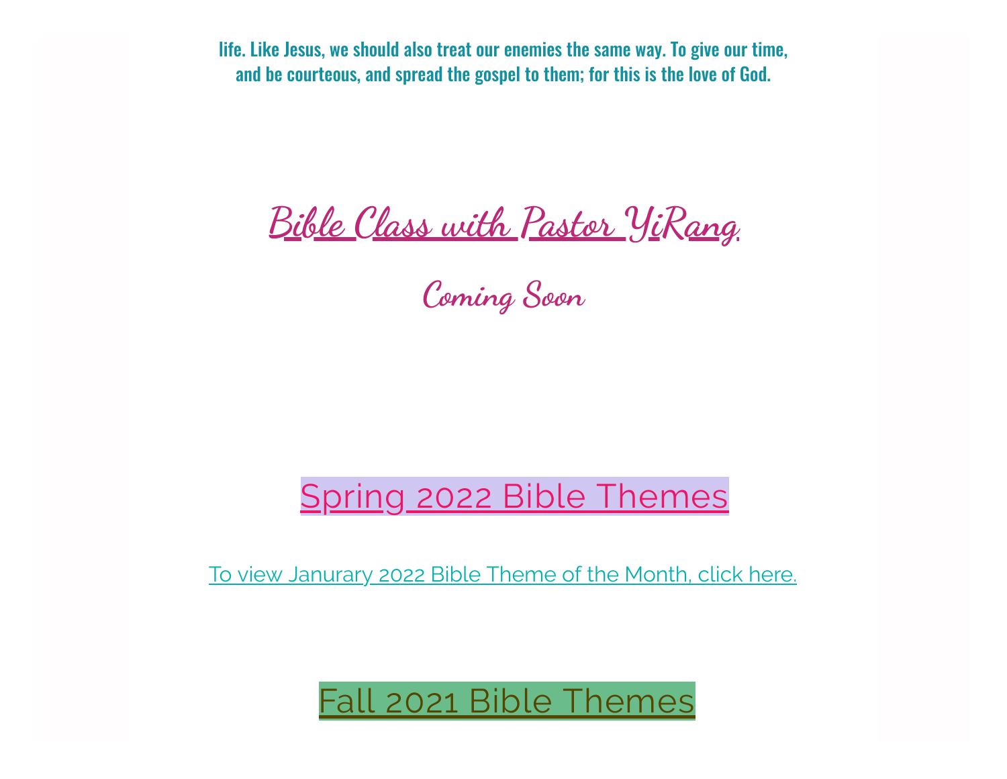life. Like Jesus, we should also treat our enemies the same way. To give our time, and be courteous, and spread the gospel to them; for this is the love of God.

**Bible Class with Pastor YiRang**

**Coming Soon**

#### Spring 2022 Bible Themes

To view [Janurary](https://www.jubilightsweekday.com/_files/ugd/1a8181_2b6cfc23176d41e8b65333ae14702628.pdf) 2022 Bible Theme of the Month, click here.

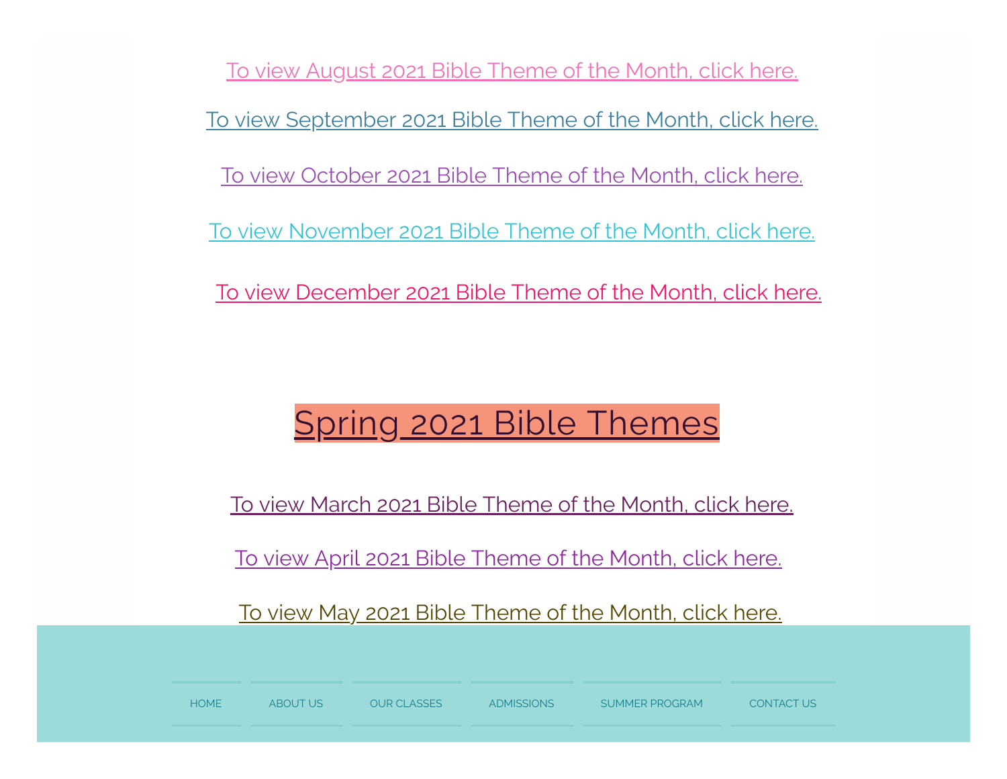To view [August](https://www.jubilightsweekday.com/_files/ugd/1a8181_744a42bea60049548185ed8726652a40.pdf) 2021 Bible Theme of the Month, click here. To view [September](https://www.jubilightsweekday.com/_files/ugd/1a8181_ae2215a92c494ff0bdde0e91e7095f4a.pdf) 2021 Bible Theme of the Month, click here. To view [October](https://www.jubilightsweekday.com/_files/ugd/1a8181_9fee79a3f4554adba987e8572f567713.pdf) 2021 Bible Theme of the Month, click here. To view [November](https://www.jubilightsweekday.com/_files/ugd/1a8181_47578835c6574f27a68983cc3daeed6d.pdf) 2021 Bible Theme of the Month, click here. To view [December](https://www.jubilightsweekday.com/_files/ugd/1a8181_c31e6e7e708946abaff4305498db63b1.pdf) 2021 Bible Theme of the Month, click here.

## Spring 2021 Bible Themes

To view March 2021 Bible [Theme](https://www.jubilightsweekday.com/_files/ugd/1a8181_a9edf8045ae9460187ccc2e908ba66ca.pdf) of the Month, click here.

To view April 2021 Bible [Theme](https://www.jubilightsweekday.com/_files/ugd/1a8181_8843c1ae02984af9a2592d57e7b52c92.pdf) of the Month, click here.

To view May 2021 Bible [Theme](https://www.jubilightsweekday.com/_files/ugd/1a8181_59b45f91a0f64716a7f69741cf3eb226.pdf) of the Month, click here.